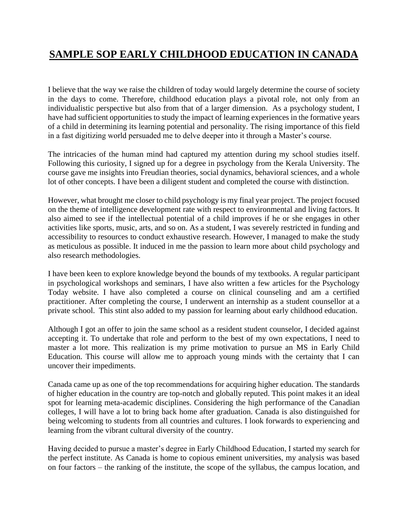## **SAMPLE SOP EARLY CHILDHOOD EDUCATION IN CANADA**

I believe that the way we raise the children of today would largely determine the course of society in the days to come. Therefore, childhood education plays a pivotal role, not only from an individualistic perspective but also from that of a larger dimension. As a psychology student, I have had sufficient opportunities to study the impact of learning experiences in the formative years of a child in determining its learning potential and personality. The rising importance of this field in a fast digitizing world persuaded me to delve deeper into it through a Master's course.

The intricacies of the human mind had captured my attention during my school studies itself. Following this curiosity, I signed up for a degree in psychology from the Kerala University. The course gave me insights into Freudian theories, social dynamics, behavioral sciences, and a whole lot of other concepts. I have been a diligent student and completed the course with distinction.

However, what brought me closer to child psychology is my final year project. The project focused on the theme of intelligence development rate with respect to environmental and living factors. It also aimed to see if the intellectual potential of a child improves if he or she engages in other activities like sports, music, arts, and so on. As a student, I was severely restricted in funding and accessibility to resources to conduct exhaustive research. However, I managed to make the study as meticulous as possible. It induced in me the passion to learn more about child psychology and also research methodologies.

I have been keen to explore knowledge beyond the bounds of my textbooks. A regular participant in psychological workshops and seminars, I have also written a few articles for the Psychology Today website. I have also completed a course on clinical counseling and am a certified practitioner. After completing the course, I underwent an internship as a student counsellor at a private school. This stint also added to my passion for learning about early childhood education.

Although I got an offer to join the same school as a resident student counselor, I decided against accepting it. To undertake that role and perform to the best of my own expectations, I need to master a lot more. This realization is my prime motivation to pursue an MS in Early Child Education. This course will allow me to approach young minds with the certainty that I can uncover their impediments.

Canada came up as one of the top recommendations for acquiring higher education. The standards of higher education in the country are top-notch and globally reputed. This point makes it an ideal spot for learning meta-academic disciplines. Considering the high performance of the Canadian colleges, I will have a lot to bring back home after graduation. Canada is also distinguished for being welcoming to students from all countries and cultures. I look forwards to experiencing and learning from the vibrant cultural diversity of the country.

Having decided to pursue a master's degree in Early Childhood Education, I started my search for the perfect institute. As Canada is home to copious eminent universities, my analysis was based on four factors – the ranking of the institute, the scope of the syllabus, the campus location, and